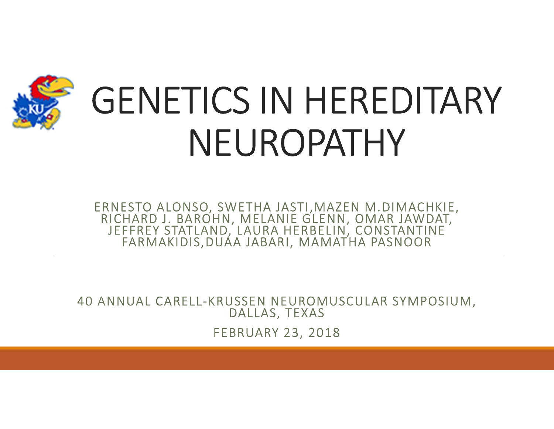

# GENETICS IN HEREDITARY NEUROPATHY ERNESTO ALONSO, SWETHA JASTI,MAZEN M.DIMACHKIE,<br>RICHARD J. BAROHN, MELANIE GLENN, OMAR JAWDAT,<br>RICHARD J. BAROHN, MELANIE GLENN, OMAR JAWDAT,<br>JEFFREY STATLAND, LAURA HERBELIN, CONSTANTINE FARMAKIDIS,DUAA JABARI, MAMATHA PA

AND THE WARD ON A THE TANK OF THE TANK ON A THREE THE RICHARD J. BAROHN, MELANIE GLENN, OMAR JAWDAT,<br>
JEFFREY STATLAND, LAURA HERBELIN, CONSTANTINE<br>
FARMAKIDIS,DUAA JABARI, MAMATHA PASNOOR<br>
TARMAKIDIS,DUAA JABARI, MAMATHA

FEBRUARY 23, 2018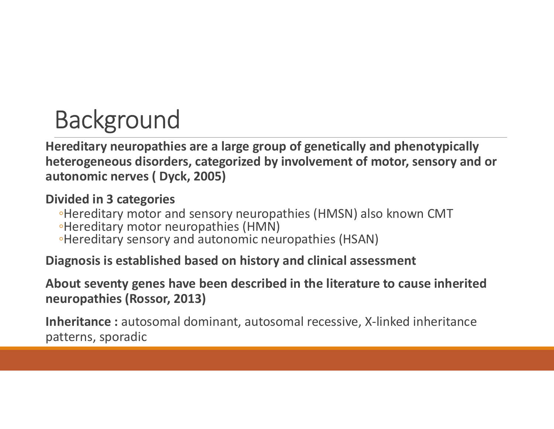# Background

Hereditary neuropathies are a large group of genetically and phenotypically heterogeneous disorders, categorized by involvement of motor, sensory and or autonomic nerves ( Dyck, 2005)

#### Divided in 3 categories

◦Hereditary motor and sensory neuropathies (HMSN) also known CMT ◦Hereditary motor neuropathies (HMN) ◦Hereditary sensory and autonomic neuropathies (HSAN)

#### Diagnosis is established based on history and clinical assessment

#### About seventy genes have been described in the literature to cause inherited neuropathies (Rossor, 2013)

Inheritance : autosomal dominant, autosomal recessive, X-linked inheritance patterns, sporadic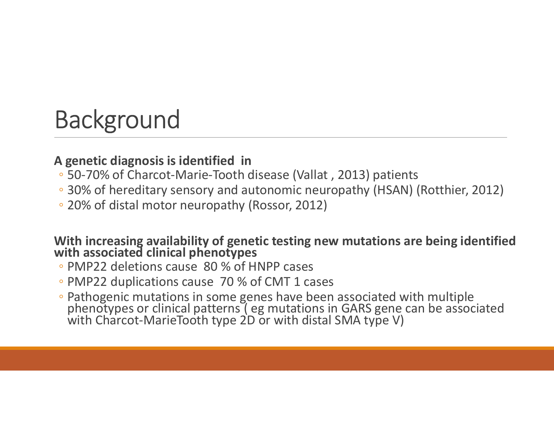# Background

#### A genetic diagnosis is identified in

- 
- **Sackground**<br> **A genetic diagnosis is identified in**<br>
 50-70% of Charcot-Marie-Tooth disease (Vallat , 2013) patients<br>• 30% of hereditary sensory and autonomic neuropathy (HSAN) (Rotthier, 2012)<br>• 20% of distal motor neu ◦ 30% of hereditary sensory and autonomic neuropathy (HSAN) (Rotthier, 2012)
- 20% of distal motor neuropathy (Rossor, 2012)

## With increasing availability of genetic testing new mutations are being identified with associated clinical phenotypes

- PMP22 deletions cause 80 % of HNPP cases
- PMP22 duplications cause 70 % of CMT 1 cases
- <p>\n• 50-70% of Character-Marie-Tooth disease (Vallat, 2013) patients<br/>\n• 30% of hereditary sensory and automobile neuropathy (HSAN) (Rothier, 2012)<br/>\n• 20% of distal motor neuropathy (Rossor, 2012)<br/>\n</p>\n<p>\nWith increasing availability of genetic testing new mutations are being identified<br/>\nwith associated clinical phenotypes<br/>\n• PMP22 deletions cause 80 % of HNPP cases<br/>\n• PMP22 duplications cause 70 % of CMT 1 cases<br/>\n• Pathogenic mutations in some genes have been associated with multiple<br/>\nphenotypes or clinical patterns ( eg mutations in GARS gene can be associated<br/>\nwith Character-MarieTooth type 2D or with distal SMA type V)\n</p>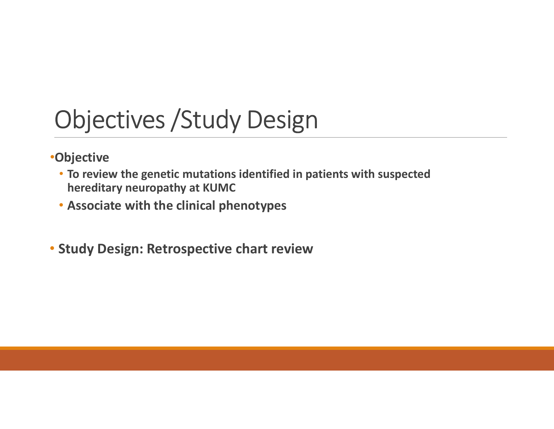# Objectives /Study Design

#### •Objective

- To review the genetic mutations identified in patients with suspected hereditary neuropathy at KUMC
- Associate with the clinical phenotypes
- Study Design: Retrospective chart review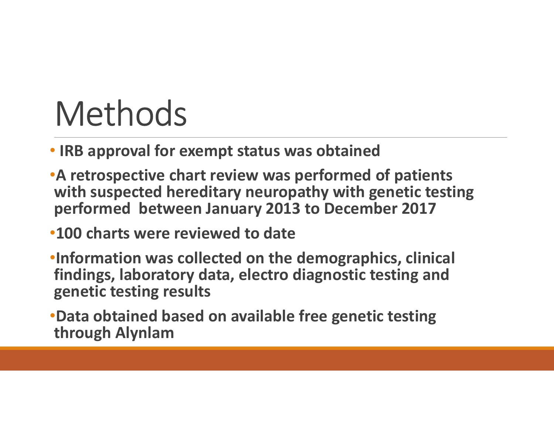# Methods

- IRB approval for exempt status was obtained
- •A retrospective chart review was performed of patients with suspected hereditary neuropathy with genetic testing performed between January 2013 to December 2017
- •100 charts were reviewed to date
- •Information was collected on the demographics, clinical findings, laboratory data, electro diagnostic testing and genetic testing results
- •Data obtained based on available free genetic testing through Alynlam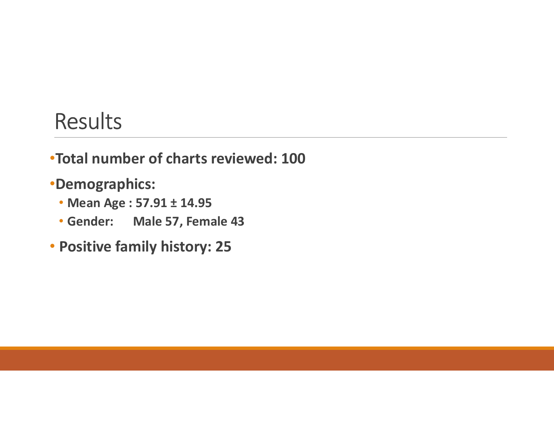- •Total number of charts reviewed: 100 Results<br>Fotal number of charts reviewed: 100<br>Demographics:<br>• Mean Age : 57.91 ± 14.95<br>• Gender: Male 57, Female 43<br>Positive family history: 25
- •Demographics:
	-
	- Gender: Male 57, Female 43
- Positive family history: 25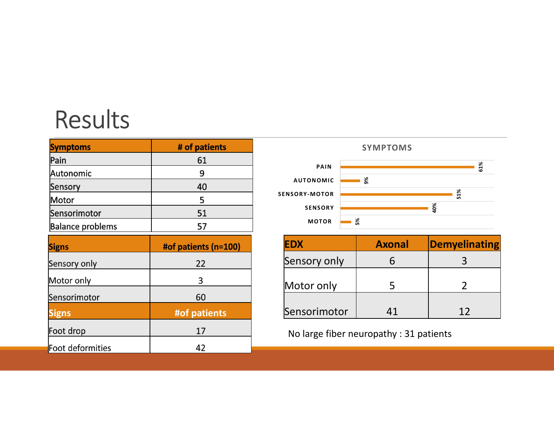| <b>Symptoms</b>         | # of patients |
|-------------------------|---------------|
| Pain                    | 61            |
| Autonomic               | 9             |
| Sensory                 | 40            |
| Motor                   | 5             |
| Sensorimotor            | 51            |
| <b>Balance problems</b> | 57            |

| <b>Symptoms</b>         | # of patients        |                             | <b>SYMPTON</b> |
|-------------------------|----------------------|-----------------------------|----------------|
| Pain                    | 61                   | <b>PAIN</b>                 |                |
| Autonomic               | 9                    |                             |                |
| Sensory                 | 40                   | <b>AUTONOMIC</b>            | ్ల             |
| Motor                   | 5                    | <b>SENSORY-MOTOR</b>        |                |
| Sensorimotor            | 51                   | <b>SENSORY</b>              |                |
| <b>Balance problems</b> | 57                   | <b>MOTOR</b>                | న్             |
| <b>Signs</b>            | #of patients (n=100) | <b>EDX</b>                  | <b>Axona</b>   |
| Sensory only            | 22                   | Sensory only                | 6              |
| Motor only              | 3                    | Motor only                  | 5              |
| Sensorimotor            | 60                   |                             |                |
| <b>Signs</b>            | #of patients         | Sensorimotor                | 41             |
| Foot drop               | 17                   | No large fiber neuropathy : |                |
| Foot deformities        | 42                   |                             |                |
|                         |                      |                             |                |



| PAIN                                    |    |               | 61%                  |
|-----------------------------------------|----|---------------|----------------------|
| <b>AUTONOMIC</b>                        |    | ళ్ల           |                      |
| <b>ENSORY-MOTOR</b>                     |    |               | 51%                  |
| <b>SENSORY</b>                          |    |               | 40%                  |
| <b>MOTOR</b>                            | న్ |               |                      |
| <b>EDX</b>                              |    | <b>Axonal</b> | <b>Demyelinating</b> |
| Sensory only                            |    | 6             | 3                    |
| Motor only                              |    | 5             | $\overline{2}$       |
| Sensorimotor                            |    | 41            | 12                   |
| No large fiber neuropathy : 31 patients |    |               |                      |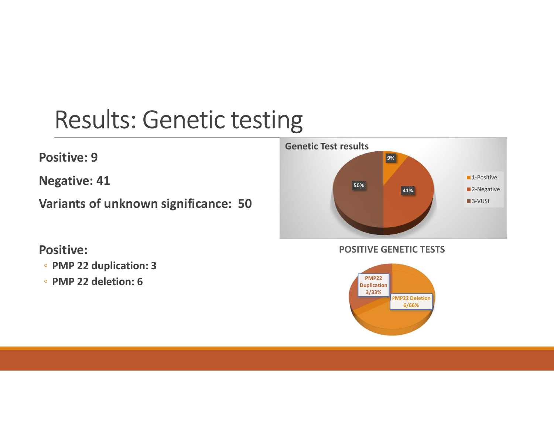# Results: Genetic testing

#### Positive: 9

Negative: 41

Variants of unknown significance: 50

#### Positive:

- PMP 22 duplication: 3
- PMP 22 deletion: 6



#### POSITIVE GENETIC TESTS

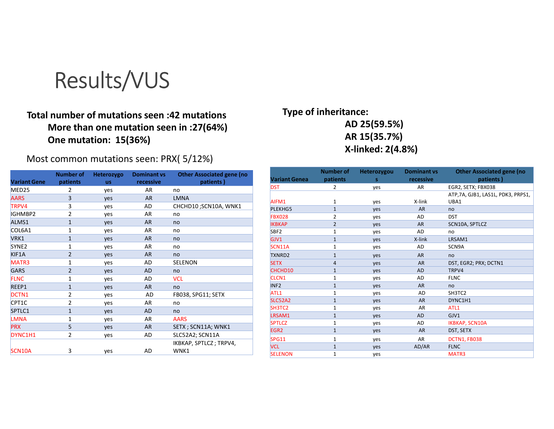### Results/VUS

#### Total number of mutations seen :42 mutations More than one mutation seen in :27(64%) One mutation: 15(36%)

|                     |                  | One mutation: 15(36%) | Results/VUS        | Total number of mutations seen :42 mutations<br>More than one mutation seen in :27(64%)<br>Most common mutations seen: PRX(5/12%) |                                | <b>Type of inheritance:</b>      | AD 25(59.5%)<br>AR 15(35.7%)<br>X-linked: 2(4. |
|---------------------|------------------|-----------------------|--------------------|-----------------------------------------------------------------------------------------------------------------------------------|--------------------------------|----------------------------------|------------------------------------------------|
|                     | <b>Number of</b> | Heterozygo            | <b>Dominant vs</b> | <b>Other Associated gene (no</b>                                                                                                  |                                | <b>Number of</b>                 | Heterozygou                                    |
| <b>Variant Gene</b> | patients         | <b>us</b>             | recessive          | patients)                                                                                                                         | <b>Variant Genea</b>           | patients                         | s.                                             |
| MED25               | 2                | yes                   | AR                 | no                                                                                                                                | <b>DST</b>                     | $\overline{2}$                   | yes                                            |
| <b>AARS</b>         | 3                | yes                   | <b>AR</b>          | <b>LMNA</b>                                                                                                                       |                                |                                  |                                                |
| TRPV4               | 3                | yes                   | AD                 | CHCHD10; SCN10A, WNK1                                                                                                             | AIFM1                          | $\mathbf{1}$                     | yes                                            |
| IGHMBP2             | $\overline{2}$   | yes                   | AR                 | no                                                                                                                                | PLEKHG5                        | $\mathbf{1}$                     | yes                                            |
| ALMS1               | $1\,$            | yes                   | <b>AR</b>          | no                                                                                                                                | <b>FBX028</b><br><b>IKBKAP</b> | $\overline{2}$<br>$\overline{2}$ | yes                                            |
| COL6A1              | 1                | yes                   | AR                 | no                                                                                                                                | SBF <sub>2</sub>               | $\mathbf{1}$                     | yes                                            |
| VRK1                | $\mathbf{1}$     | yes                   | <b>AR</b>          | no                                                                                                                                | GJV1                           | $\mathbf{1}$                     | yes<br>yes                                     |
| SYNE <sub>2</sub>   | $1\,$            | yes                   | AR                 | no                                                                                                                                | <b>SCN11A</b>                  | 1                                | yes                                            |
| KIF1A               | $\overline{2}$   | yes                   | <b>AR</b>          | no                                                                                                                                | <b>TXNRD2</b>                  | $\mathbf{1}$                     | yes                                            |
| MATR3               | $\mathbf{1}$     | yes                   | AD                 | SELENON                                                                                                                           | <b>SETX</b>                    | $\overline{4}$                   | yes                                            |
| <b>GARS</b>         | $\overline{2}$   | yes                   | <b>AD</b>          | no                                                                                                                                | CHCHD10                        | $\mathbf{1}$                     | yes                                            |
| <b>FLNC</b>         | $\mathbf{1}$     | yes                   | AD                 | <b>VCL</b>                                                                                                                        | CLCN <sub>1</sub>              | $\mathbf{1}$                     | yes                                            |
| REEP1               | $\mathbf{1}$     | yes                   | AR                 | no                                                                                                                                | INF <sub>2</sub>               | $\mathbf{1}$                     | yes                                            |
| DCTN1               | $\overline{2}$   | yes                   | AD                 | FB038, SPG11; SETX                                                                                                                | ATL1                           | $\mathbf{1}$                     | yes                                            |
| CPT1C               | $\overline{2}$   | yes                   | AR                 | no                                                                                                                                | <b>SLC52A2</b>                 | $\mathbf{1}$                     | yes                                            |
| SPTLC1              | $\mathbf{1}$     | yes                   | <b>AD</b>          | no                                                                                                                                | SH3TC2                         | $\mathbf{1}$                     | yes                                            |
| <b>LMNA</b>         | $\mathbf{1}$     | yes                   | AR                 | <b>AARS</b>                                                                                                                       | LRSAM1                         | $\mathbf{1}$                     | yes                                            |
| <b>PRX</b>          | 5                | yes                   | ${\sf AR}$         | SETX ; SCN11A; WNK1                                                                                                               | <b>SPTLCZ</b>                  | 1                                | yes                                            |
| DYNC1H1             | $\overline{2}$   | yes                   | AD                 | SLC52A2; SCN11A                                                                                                                   | EGR <sub>2</sub>               | $\mathbf{1}$                     | yes                                            |
|                     |                  |                       |                    | IKBKAP, SPTLCZ; TRPV4,                                                                                                            | <b>SPG11</b>                   | $\mathbf{1}$                     | yes                                            |
|                     |                  |                       | ${\sf AD}$         | WNK1                                                                                                                              | <b>VCL</b>                     | $\mathbf{1}$                     | yes                                            |
| SCN10A              | 3                | yes                   |                    |                                                                                                                                   | <b>SELENON</b>                 | $\mathbf{1}$                     | yes                                            |

#### Type of inheritance: AD 25(59.5%) AR 15(35.7%) X-linked: 2(4.8%)

|                                                                           | Type of inheritance:                              |             |                     |                                    |
|---------------------------------------------------------------------------|---------------------------------------------------|-------------|---------------------|------------------------------------|
|                                                                           | AD 25(59.5%)<br>AR 15(35.7%)<br>X-linked: 2(4.8%) |             |                     |                                    |
|                                                                           | <b>Number of</b>                                  | Heterozygou | <b>Dominant vs</b>  | <b>Other Associated gene (no</b>   |
| <b>Variant Genea</b>                                                      | patients                                          | s.          | recessive           | patients)                          |
| <b>DST</b>                                                                | $\overline{2}$                                    | yes         | AR                  | EGR2, SETX; FBX038                 |
|                                                                           |                                                   |             |                     | ATP, 7A, GJB1, LAS1L, PDK3, PRPS1, |
| AIFM1<br>PLEKHG5                                                          | $\mathbf{1}$<br>$1\,$                             | yes         | X-link<br><b>AR</b> | UBA1                               |
| <b>FBX028</b>                                                             | $\overline{2}$                                    | yes         | AD                  | no<br><b>DST</b>                   |
| <b>IKBKAP</b>                                                             | $\overline{2}$                                    | yes         | AR                  | SCN10A, SPTLCZ                     |
| SBF <sub>2</sub>                                                          | $\mathbf{1}$                                      | yes         | <b>AD</b>           | no                                 |
| GJV1                                                                      | $1\,$                                             | yes<br>yes  | X-link              | LRSAM1                             |
| SCN11A                                                                    | $\mathbf{1}$                                      | yes         | AD                  | SCN9A                              |
| <b>TXNRD2</b>                                                             | $1\,$                                             |             | <b>AR</b>           | no                                 |
| <b>SETX</b>                                                               | $\overline{4}$                                    | yes<br>yes  | AR                  | DST, EGR2; PRX; DCTN1              |
| CHCHD10                                                                   | $\mathbf{1}$                                      | yes         | <b>AD</b>           | TRPV4                              |
| CLCN <sub>1</sub>                                                         | $\mathbf{1}$                                      | yes         | AD                  | <b>FLNC</b>                        |
| INF <sub>2</sub>                                                          | $1\,$                                             | yes         | AR                  | no                                 |
| ATL1                                                                      | $\mathbf{1}$                                      | yes         | AD                  | SH3TC2                             |
| <b>SLC52A2</b>                                                            | $\mathbf 1$                                       | yes         | <b>AR</b>           | DYNC1H1                            |
| SH3TC2                                                                    | $\mathbf{1}$                                      | yes         | AR                  | ATL1                               |
|                                                                           | $\mathbf 1$                                       | yes         | <b>AD</b>           | GJV1                               |
|                                                                           |                                                   | yes         | <b>AD</b>           | <b>IKBKAP, SCN10A</b>              |
|                                                                           | $\mathbf 1$                                       |             |                     |                                    |
|                                                                           | $\mathbf 1$                                       | yes         | ${\sf AR}$          | DST, SETX                          |
|                                                                           |                                                   |             |                     |                                    |
| LRSAM1<br><b>SPTLCZ</b><br>EGR <sub>2</sub><br><b>SPG11</b><br><b>VCL</b> | $\mathbf 1$<br>$\mathbf 1$                        | yes<br>yes  | ${\sf AR}$<br>AD/AR | DCTN1, FB038<br><b>FLNC</b>        |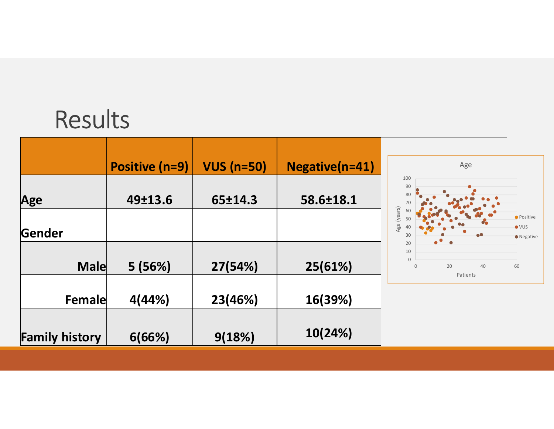| Results               |                |                   |                       |                                                                             |
|-----------------------|----------------|-------------------|-----------------------|-----------------------------------------------------------------------------|
|                       | Positive (n=9) | <b>VUS (n=50)</b> | <b>Negative(n=41)</b> | Age                                                                         |
| Age                   | 49±13.6        | 65±14.3           | 58.6±18.1             | 100<br>90<br>80<br>70                                                       |
| Gender                |                |                   |                       | Age (years)<br>• Positive<br>50<br>$\bullet$ VUS<br>4(<br>30<br>• Negative  |
| Male                  | 5 (56%)        | 27(54%)           | 25(61%)               | 20<br>10<br>$\overline{0}$<br>60<br>20<br>$40\,$<br>$\mathbf 0$<br>Patients |
| Female                | 4(44%)         | 23(46%)           | 16(39%)               |                                                                             |
| <b>Family history</b> | 6(66%)         | 9(18%)            | 10(24%)               |                                                                             |
|                       |                |                   |                       |                                                                             |
|                       |                |                   |                       |                                                                             |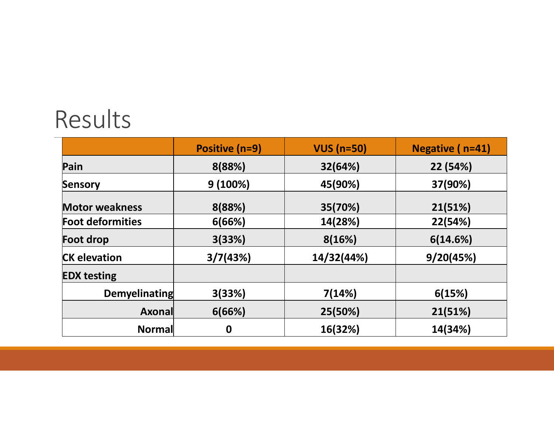| Results                 |                  |              |                        |
|-------------------------|------------------|--------------|------------------------|
|                         | Positive (n=9)   | $VUS (n=50)$ | <b>Negative (n=41)</b> |
| Pain                    | 8(88%)           | 32(64%)      | 22 (54%)               |
| Sensory                 | 9(100%)          | 45(90%)      | 37(90%)                |
| <b>Motor weakness</b>   | 8(88%)           | 35(70%)      | 21(51%)                |
| <b>Foot deformities</b> | 6(66%)           | 14(28%)      | 22(54%)                |
| <b>Foot drop</b>        | 3(33%)           | 8(16%)       | 6(14.6%)               |
| <b>CK elevation</b>     | 3/7(43%)         | 14/32(44%)   | 9/20(45%)              |
| <b>EDX testing</b>      |                  |              |                        |
| Demyelinating           | 3(33%)           | 7(14%)       | 6(15%)                 |
| Axonal                  | 6(66%)           | 25(50%)      | 21(51%)                |
| Normal                  | $\boldsymbol{0}$ | 16(32%)      | 14(34%)                |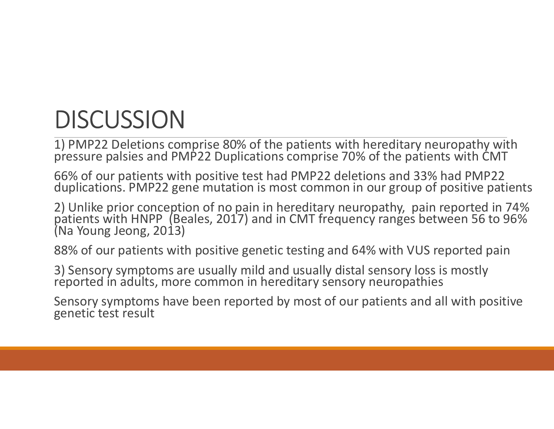# DISCUSSION

1) PMP22 Deletions comprise 80% of the patients with hereditary neuropathy with pressure palsies and PMP22 Duplications comprise 70% of the patients with CMT

66% of our patients with positive test had PMP22 deletions and 33% had PMP22 duplications. PMP22 gene mutation is most common in our group of positive patients

2) Unlike prior conception of no pain in hereditary neuropathy, pain reported in 74% patients with HNPP (Beales, 2017) and in CMT frequency ranges between 56 to 96% (Na Young Jeong, 2013)

88% of our patients with positive genetic testing and 64% with VUS reported pain

3) Sensory symptoms are usually mild and usually distal sensory loss is mostly reported in adults, more common in hereditary sensory neuropathies

Sensory symptoms have been reported by most of our patients and all with positive genetic test result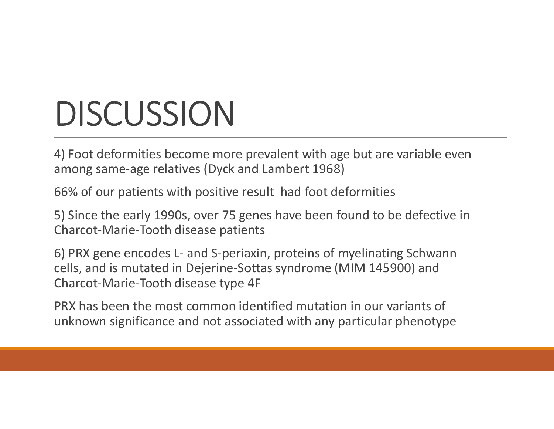# DISCUSSION

4) Foot deformities become more prevalent with age but are variable even DISCUSSION<br>4) Foot deformities become more prevalent with age but are variable ever<br>among same-age relatives (Dyck and Lambert 1968)<br>66% of our patients with positive result had foot deformities<br>5) Since the early 1990s, o

66% of our patients with positive result had foot deformities

5) Since the early 1990s, over 75 genes have been found to be defective in Charcot-Marie-Tooth disease patients

**6) SCUSSION**<br>
4) Foot deformities become more prevalent with age but are variable even<br>
among same-age relatives (Dyck and Lambert 1968)<br>
66% of our patients with positive result had foot deformities<br>
5) Since the early 1 cells, and is mutated in Dejerine-Sottas syndrome (MIM 145900) and Charcot-Marie-Tooth disease type 4F

PRX has been the most common identified mutation in our variants of unknown significance and not associated with any particular phenotype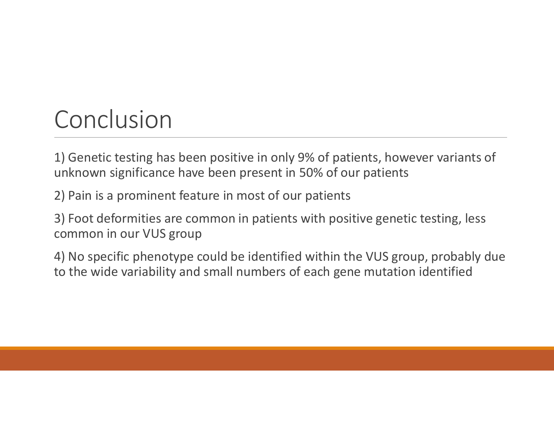# Conclusion

1) Genetic testing has been positive in only 9% of patients, however variants of unknown significance have been present in 50% of our patients

2) Pain is a prominent feature in most of our patients

3) Foot deformities are common in patients with positive genetic testing, less common in our VUS group

4) No specific phenotype could be identified within the VUS group, probably due to the wide variability and small numbers of each gene mutation identified